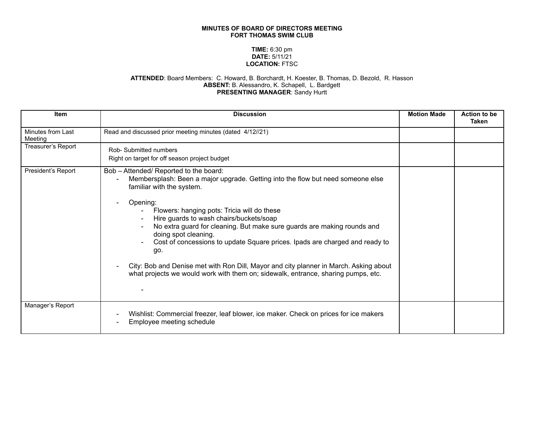## **MINUTES OF BOARD OF DIRECTORS MEETING FORT THOMAS SWIM CLUB**

## **TIME:** 6:30 pm **DATE:** 5/11/21 **LOCATION:** FTSC

## **ATTENDED**: Board Members: C. Howard, B. Borchardt, H. Koester, B. Thomas, D. Bezold, R. Hasson **ABSENT:** B. Alessandro, K. Schapell, L. Bardgett **PRESENTING MANAGER**: Sandy Hurtt

| <b>Item</b>                  | <b>Discussion</b>                                                                                                                                                                                                                                                                                                                                                                                                                                                                                                                                                                                                                   | <b>Motion Made</b> | <b>Action to be</b><br>Taken |
|------------------------------|-------------------------------------------------------------------------------------------------------------------------------------------------------------------------------------------------------------------------------------------------------------------------------------------------------------------------------------------------------------------------------------------------------------------------------------------------------------------------------------------------------------------------------------------------------------------------------------------------------------------------------------|--------------------|------------------------------|
| Minutes from Last<br>Meeting | Read and discussed prior meeting minutes (dated 4/12//21)                                                                                                                                                                                                                                                                                                                                                                                                                                                                                                                                                                           |                    |                              |
| Treasurer's Report           | Rob-Submitted numbers<br>Right on target for off season project budget                                                                                                                                                                                                                                                                                                                                                                                                                                                                                                                                                              |                    |                              |
| President's Report           | Bob - Attended/ Reported to the board:<br>Membersplash: Been a major upgrade. Getting into the flow but need someone else<br>familiar with the system.<br>Opening:<br>Flowers: hanging pots: Tricia will do these<br>Hire guards to wash chairs/buckets/soap<br>No extra guard for cleaning. But make sure guards are making rounds and<br>doing spot cleaning.<br>Cost of concessions to update Square prices. Ipads are charged and ready to<br>go.<br>City: Bob and Denise met with Ron Dill, Mayor and city planner in March. Asking about<br>what projects we would work with them on; sidewalk, entrance, sharing pumps, etc. |                    |                              |
| Manager's Report             | Wishlist: Commercial freezer, leaf blower, ice maker. Check on prices for ice makers<br>Employee meeting schedule                                                                                                                                                                                                                                                                                                                                                                                                                                                                                                                   |                    |                              |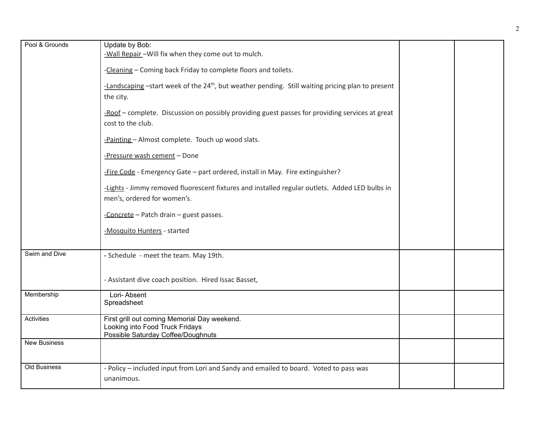| Pool & Grounds      | Update by Bob:                                                                                                |  |
|---------------------|---------------------------------------------------------------------------------------------------------------|--|
|                     |                                                                                                               |  |
|                     | -Wall Repair - Will fix when they come out to mulch.                                                          |  |
|                     | -Cleaning - Coming back Friday to complete floors and toilets.                                                |  |
|                     | -Landscaping -start week of the 24 <sup>th</sup> , but weather pending. Still waiting pricing plan to present |  |
|                     |                                                                                                               |  |
|                     | the city.                                                                                                     |  |
|                     |                                                                                                               |  |
|                     | -Roof - complete. Discussion on possibly providing guest passes for providing services at great               |  |
|                     | cost to the club.                                                                                             |  |
|                     |                                                                                                               |  |
|                     | -Painting - Almost complete. Touch up wood slats.                                                             |  |
|                     |                                                                                                               |  |
|                     | -Pressure wash cement - Done                                                                                  |  |
|                     |                                                                                                               |  |
|                     | -Fire Code - Emergency Gate - part ordered, install in May. Fire extinguisher?                                |  |
|                     |                                                                                                               |  |
|                     | -Lights - Jimmy removed fluorescent fixtures and installed regular outlets. Added LED bulbs in                |  |
|                     |                                                                                                               |  |
|                     | men's, ordered for women's.                                                                                   |  |
|                     |                                                                                                               |  |
|                     | -Concrete - Patch drain - guest passes.                                                                       |  |
|                     |                                                                                                               |  |
|                     | -Mosquito Hunters - started                                                                                   |  |
|                     |                                                                                                               |  |
| Swim and Dive       |                                                                                                               |  |
|                     | - Schedule - meet the team. May 19th.                                                                         |  |
|                     |                                                                                                               |  |
|                     |                                                                                                               |  |
|                     | - Assistant dive coach position. Hired Issac Basset,                                                          |  |
|                     |                                                                                                               |  |
| Membership          | Lori-Absent                                                                                                   |  |
|                     | Spreadsheet                                                                                                   |  |
| Activities          |                                                                                                               |  |
|                     | First grill out coming Memorial Day weekend.                                                                  |  |
|                     | Looking into Food Truck Fridays                                                                               |  |
|                     | Possible Saturday Coffee/Doughnuts                                                                            |  |
| <b>New Business</b> |                                                                                                               |  |
|                     |                                                                                                               |  |
|                     |                                                                                                               |  |
| Old Business        | - Policy – included input from Lori and Sandy and emailed to board. Voted to pass was                         |  |
|                     | unanimous.                                                                                                    |  |
|                     |                                                                                                               |  |